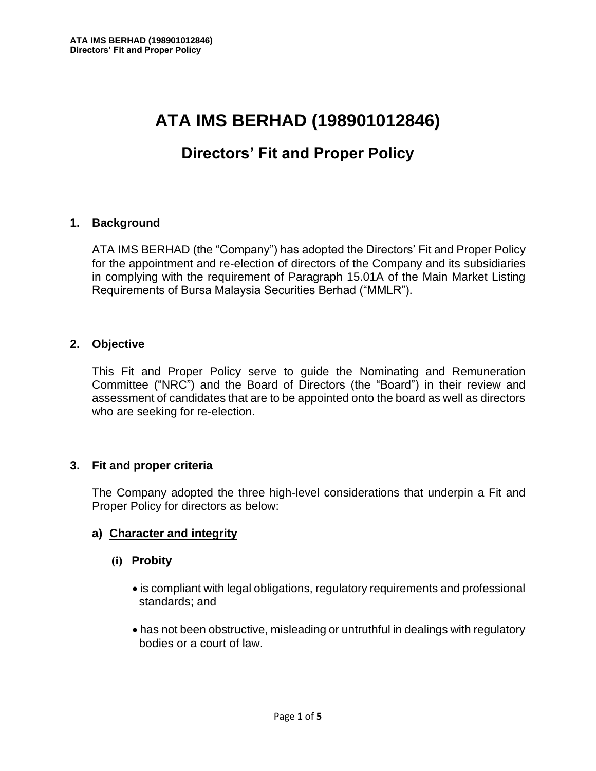# **ATA IMS BERHAD (198901012846)**

# **Directors' Fit and Proper Policy**

#### **1. Background**

ATA IMS BERHAD (the "Company") has adopted the Directors' Fit and Proper Policy for the appointment and re-election of directors of the Company and its subsidiaries in complying with the requirement of Paragraph 15.01A of the Main Market Listing Requirements of Bursa Malaysia Securities Berhad ("MMLR").

#### **2. Objective**

This Fit and Proper Policy serve to guide the Nominating and Remuneration Committee ("NRC") and the Board of Directors (the "Board") in their review and assessment of candidates that are to be appointed onto the board as well as directors who are seeking for re-election.

#### **3. Fit and proper criteria**

The Company adopted the three high-level considerations that underpin a Fit and Proper Policy for directors as below:

# **a) Character and integrity**

- **(i) Probity**
	- is compliant with legal obligations, regulatory requirements and professional standards; and
	- has not been obstructive, misleading or untruthful in dealings with regulatory bodies or a court of law.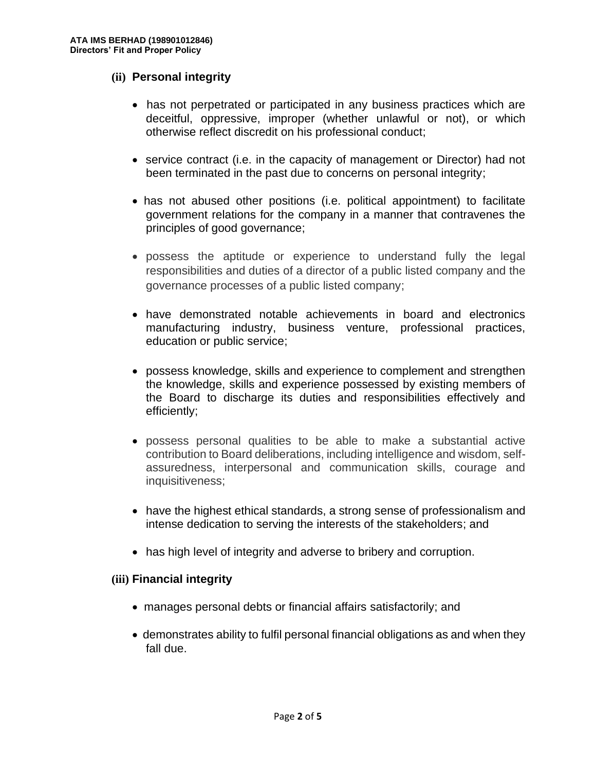#### **(ii) Personal integrity**

- has not perpetrated or participated in any business practices which are deceitful, oppressive, improper (whether unlawful or not), or which otherwise reflect discredit on his professional conduct;
- service contract (i.e. in the capacity of management or Director) had not been terminated in the past due to concerns on personal integrity;
- has not abused other positions (i.e. political appointment) to facilitate government relations for the company in a manner that contravenes the principles of good governance;
- possess the aptitude or experience to understand fully the legal responsibilities and duties of a director of a public listed company and the governance processes of a public listed company;
- have demonstrated notable achievements in board and electronics manufacturing industry, business venture, professional practices, education or public service;
- possess knowledge, skills and experience to complement and strengthen the knowledge, skills and experience possessed by existing members of the Board to discharge its duties and responsibilities effectively and efficiently;
- possess personal qualities to be able to make a substantial active contribution to Board deliberations, including intelligence and wisdom, selfassuredness, interpersonal and communication skills, courage and inquisitiveness;
- have the highest ethical standards, a strong sense of professionalism and intense dedication to serving the interests of the stakeholders; and
- has high level of integrity and adverse to bribery and corruption.

# **(iii) Financial integrity**

- manages personal debts or financial affairs satisfactorily; and
- demonstrates ability to fulfil personal financial obligations as and when they fall due.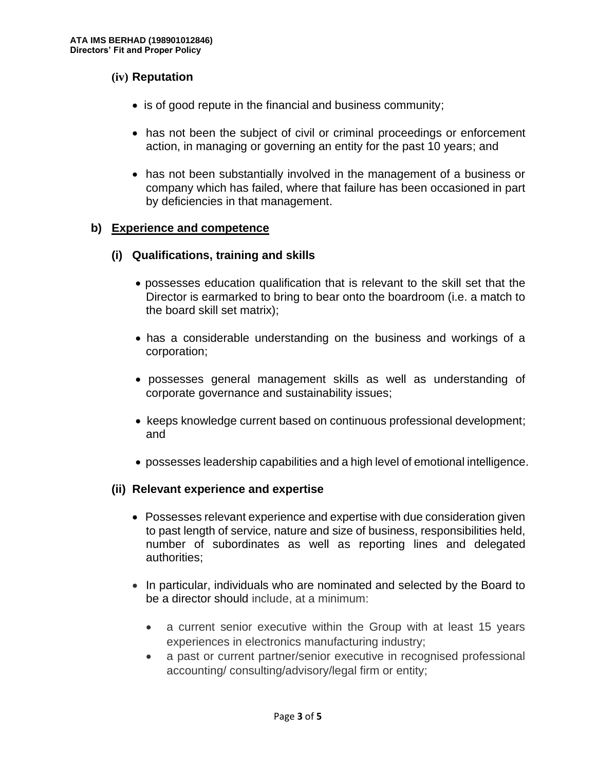# **(iv) Reputation**

- is of good repute in the financial and business community;
- has not been the subject of civil or criminal proceedings or enforcement action, in managing or governing an entity for the past 10 years; and
- has not been substantially involved in the management of a business or company which has failed, where that failure has been occasioned in part by deficiencies in that management.

# **b) Experience and competence**

# **(i) Qualifications, training and skills**

- possesses education qualification that is relevant to the skill set that the Director is earmarked to bring to bear onto the boardroom (i.e. a match to the board skill set matrix);
- has a considerable understanding on the business and workings of a corporation;
- possesses general management skills as well as understanding of corporate governance and sustainability issues;
- keeps knowledge current based on continuous professional development; and
- possesses leadership capabilities and a high level of emotional intelligence.

# **(ii) Relevant experience and expertise**

- Possesses relevant experience and expertise with due consideration given to past length of service, nature and size of business, responsibilities held, number of subordinates as well as reporting lines and delegated authorities;
- In particular, individuals who are nominated and selected by the Board to be a director should include, at a minimum:
	- a current senior executive within the Group with at least 15 years experiences in electronics manufacturing industry;
	- a past or current partner/senior executive in recognised professional accounting/ consulting/advisory/legal firm or entity;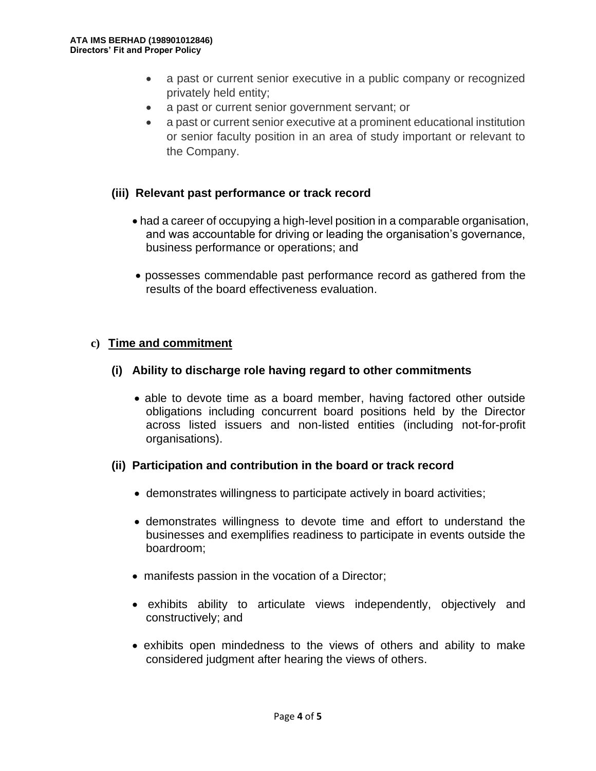- a past or current senior executive in a public company or recognized privately held entity;
- a past or current senior government servant; or
- a past or current senior executive at a prominent educational institution or senior faculty position in an area of study important or relevant to the Company.

# **(iii) Relevant past performance or track record**

- had a career of occupying a high-level position in a comparable organisation, and was accountable for driving or leading the organisation's governance, business performance or operations; and
- possesses commendable past performance record as gathered from the results of the board effectiveness evaluation.

# **c) Time and commitment**

# **(i) Ability to discharge role having regard to other commitments**

 • able to devote time as a board member, having factored other outside obligations including concurrent board positions held by the Director across listed issuers and non-listed entities (including not-for-profit organisations).

# **(ii) Participation and contribution in the board or track record**

- demonstrates willingness to participate actively in board activities;
- demonstrates willingness to devote time and effort to understand the businesses and exemplifies readiness to participate in events outside the boardroom;
- manifests passion in the vocation of a Director;
- exhibits ability to articulate views independently, objectively and constructively; and
- exhibits open mindedness to the views of others and ability to make considered judgment after hearing the views of others.